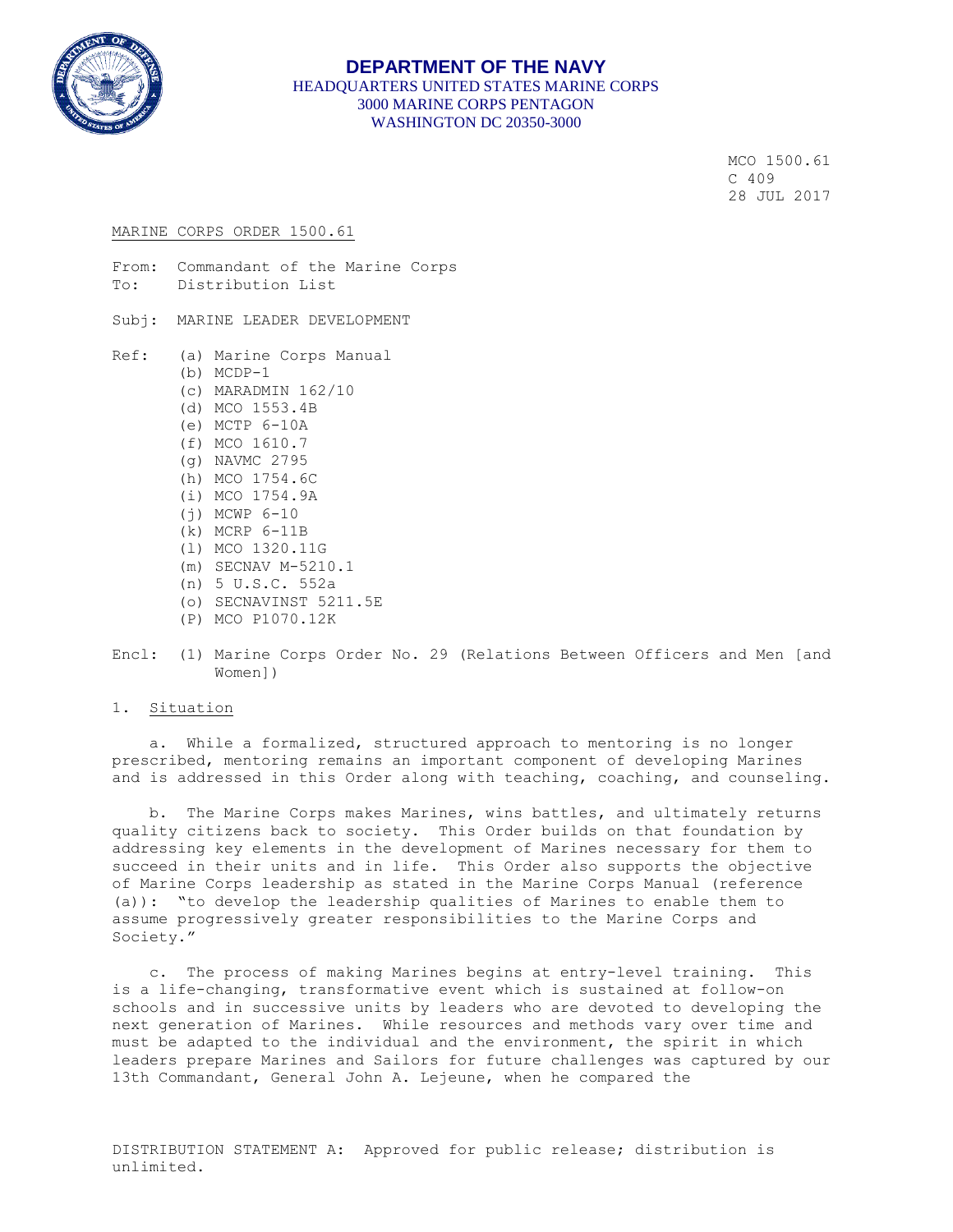

## **DEPARTMENT OF THE NAVY** HEADQUARTERS UNITED STATES MARINE CORPS 3000 MARINE CORPS PENTAGON WASHINGTON DC 20350-3000

 MCO 1500.61  $C$  409 28 JUL 2017

#### MARINE CORPS ORDER 1500.61

From: Commandant of the Marine Corps To: Distribution List

- Subj: MARINE LEADER DEVELOPMENT
- Ref: (a) Marine Corps Manual (b) MCDP-1 (c) MARADMIN 162/10 (d) MCO 1553.4B (e) MCTP 6-10A (f) MCO 1610.7 (g) NAVMC 2795 (h) MCO 1754.6C (i) MCO 1754.9A (j) MCWP 6-10 (k) MCRP 6-11B (l) MCO 1320.11G (m) SECNAV M-5210.1 (n) 5 U.S.C. 552a (o) SECNAVINST 5211.5E (P) MCO P1070.12K
- Encl: (1) Marine Corps Order No. 29 (Relations Between Officers and Men [and Women])

#### 1. Situation

 a. While a formalized, structured approach to mentoring is no longer prescribed, mentoring remains an important component of developing Marines and is addressed in this Order along with teaching, coaching, and counseling.

 b. The Marine Corps makes Marines, wins battles, and ultimately returns quality citizens back to society. This Order builds on that foundation by addressing key elements in the development of Marines necessary for them to succeed in their units and in life. This Order also supports the objective of Marine Corps leadership as stated in the Marine Corps Manual (reference (a)): "to develop the leadership qualities of Marines to enable them to assume progressively greater responsibilities to the Marine Corps and Society."

 c. The process of making Marines begins at entry-level training. This is a life-changing, transformative event which is sustained at follow-on schools and in successive units by leaders who are devoted to developing the next generation of Marines. While resources and methods vary over time and must be adapted to the individual and the environment, the spirit in which leaders prepare Marines and Sailors for future challenges was captured by our 13th Commandant, General John A. Lejeune, when he compared the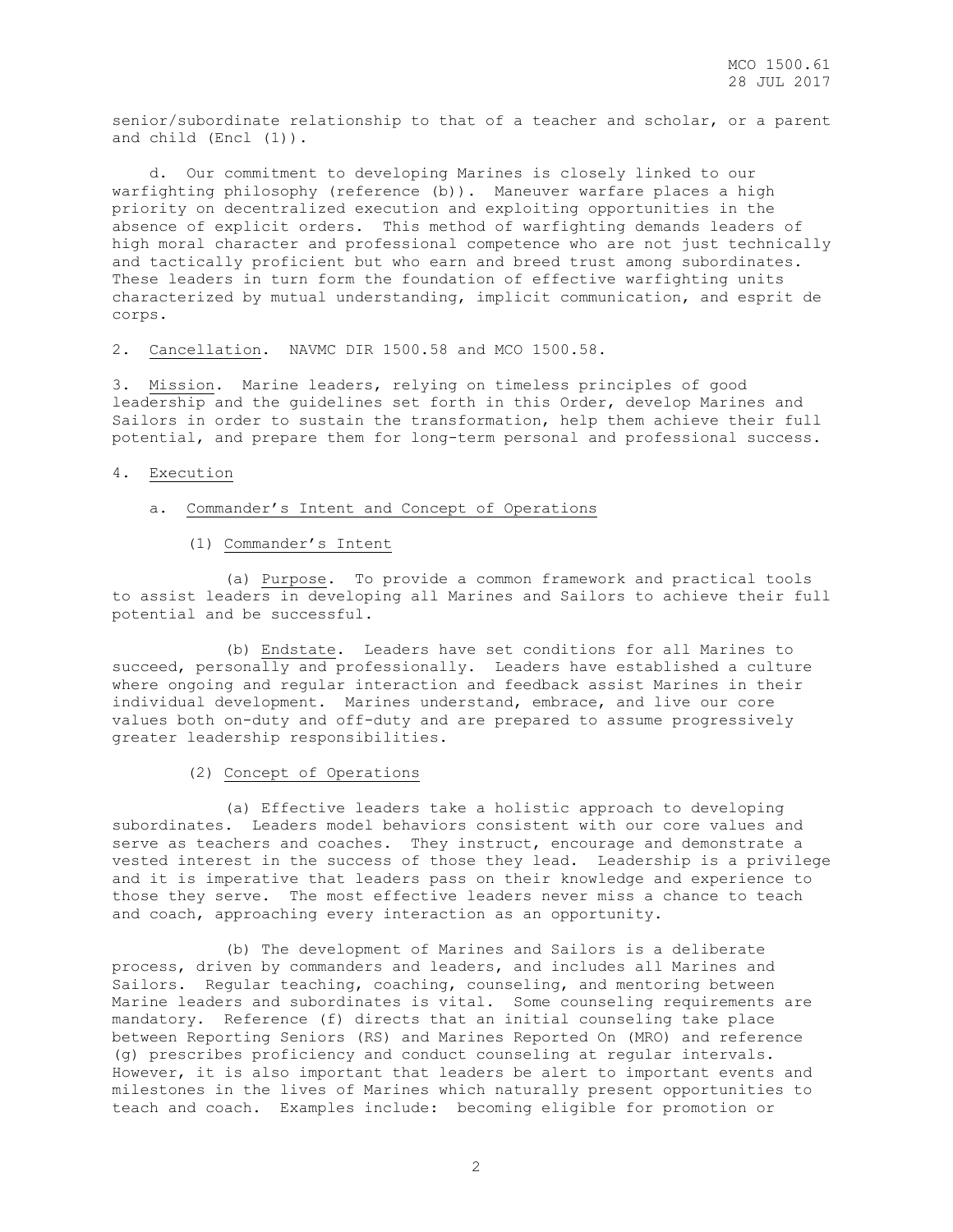senior/subordinate relationship to that of a teacher and scholar, or a parent and child (Encl (1)).

 d. Our commitment to developing Marines is closely linked to our warfighting philosophy (reference (b)). Maneuver warfare places a high priority on decentralized execution and exploiting opportunities in the absence of explicit orders. This method of warfighting demands leaders of high moral character and professional competence who are not just technically and tactically proficient but who earn and breed trust among subordinates. These leaders in turn form the foundation of effective warfighting units characterized by mutual understanding, implicit communication, and esprit de corps.

2. Cancellation. NAVMC DIR 1500.58 and MCO 1500.58.

3. Mission. Marine leaders, relying on timeless principles of good leadership and the guidelines set forth in this Order, develop Marines and Sailors in order to sustain the transformation, help them achieve their full potential, and prepare them for long-term personal and professional success.

## 4. Execution

- a. Commander's Intent and Concept of Operations
	- (1) Commander's Intent

 (a) Purpose. To provide a common framework and practical tools to assist leaders in developing all Marines and Sailors to achieve their full potential and be successful.

 (b) Endstate. Leaders have set conditions for all Marines to succeed, personally and professionally. Leaders have established a culture where ongoing and regular interaction and feedback assist Marines in their individual development. Marines understand, embrace, and live our core values both on-duty and off-duty and are prepared to assume progressively greater leadership responsibilities.

(2) Concept of Operations

 (a) Effective leaders take a holistic approach to developing subordinates. Leaders model behaviors consistent with our core values and serve as teachers and coaches. They instruct, encourage and demonstrate a vested interest in the success of those they lead. Leadership is a privilege and it is imperative that leaders pass on their knowledge and experience to those they serve. The most effective leaders never miss a chance to teach and coach, approaching every interaction as an opportunity.

 (b) The development of Marines and Sailors is a deliberate process, driven by commanders and leaders, and includes all Marines and Sailors. Regular teaching, coaching, counseling, and mentoring between Marine leaders and subordinates is vital. Some counseling requirements are mandatory. Reference (f) directs that an initial counseling take place between Reporting Seniors (RS) and Marines Reported On (MRO) and reference (g) prescribes proficiency and conduct counseling at regular intervals. However, it is also important that leaders be alert to important events and milestones in the lives of Marines which naturally present opportunities to teach and coach. Examples include: becoming eligible for promotion or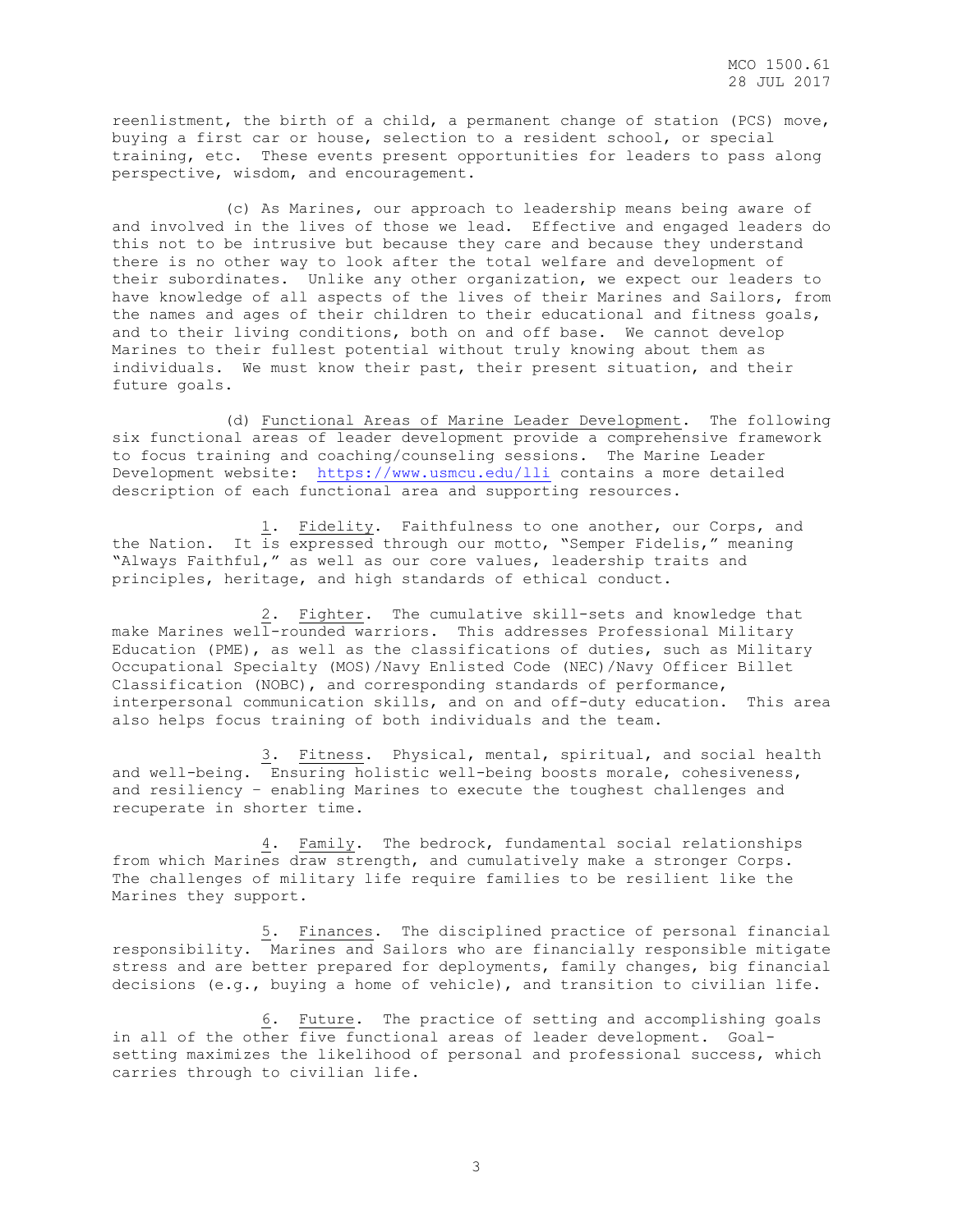reenlistment, the birth of a child, a permanent change of station (PCS) move, buying a first car or house, selection to a resident school, or special training, etc. These events present opportunities for leaders to pass along perspective, wisdom, and encouragement.

 (c) As Marines, our approach to leadership means being aware of and involved in the lives of those we lead. Effective and engaged leaders do this not to be intrusive but because they care and because they understand there is no other way to look after the total welfare and development of their subordinates. Unlike any other organization, we expect our leaders to have knowledge of all aspects of the lives of their Marines and Sailors, from the names and ages of their children to their educational and fitness goals, and to their living conditions, both on and off base. We cannot develop Marines to their fullest potential without truly knowing about them as individuals. We must know their past, their present situation, and their future goals.

 (d) Functional Areas of Marine Leader Development. The following six functional areas of leader development provide a comprehensive framework to focus training and coaching/counseling sessions. The Marine Leader Development website: <https://www.usmcu.edu/lli> contains a more detailed description of each functional area and supporting resources.

 1. Fidelity. Faithfulness to one another, our Corps, and the Nation. It is expressed through our motto, "Semper Fidelis," meaning "Always Faithful," as well as our core values, leadership traits and principles, heritage, and high standards of ethical conduct.

 2. Fighter. The cumulative skill-sets and knowledge that make Marines well-rounded warriors. This addresses Professional Military Education (PME), as well as the classifications of duties, such as Military Occupational Specialty (MOS)/Navy Enlisted Code (NEC)/Navy Officer Billet Classification (NOBC), and corresponding standards of performance, interpersonal communication skills, and on and off-duty education. This area also helps focus training of both individuals and the team.

 3. Fitness. Physical, mental, spiritual, and social health and well-being. Ensuring holistic well-being boosts morale, cohesiveness, and resiliency – enabling Marines to execute the toughest challenges and recuperate in shorter time.

 4. Family. The bedrock, fundamental social relationships from which Marines draw strength, and cumulatively make a stronger Corps. The challenges of military life require families to be resilient like the Marines they support.

 5. Finances. The disciplined practice of personal financial responsibility. Marines and Sailors who are financially responsible mitigate stress and are better prepared for deployments, family changes, big financial decisions (e.g., buying a home of vehicle), and transition to civilian life.

 6. Future. The practice of setting and accomplishing goals in all of the other five functional areas of leader development. Goalsetting maximizes the likelihood of personal and professional success, which carries through to civilian life.

3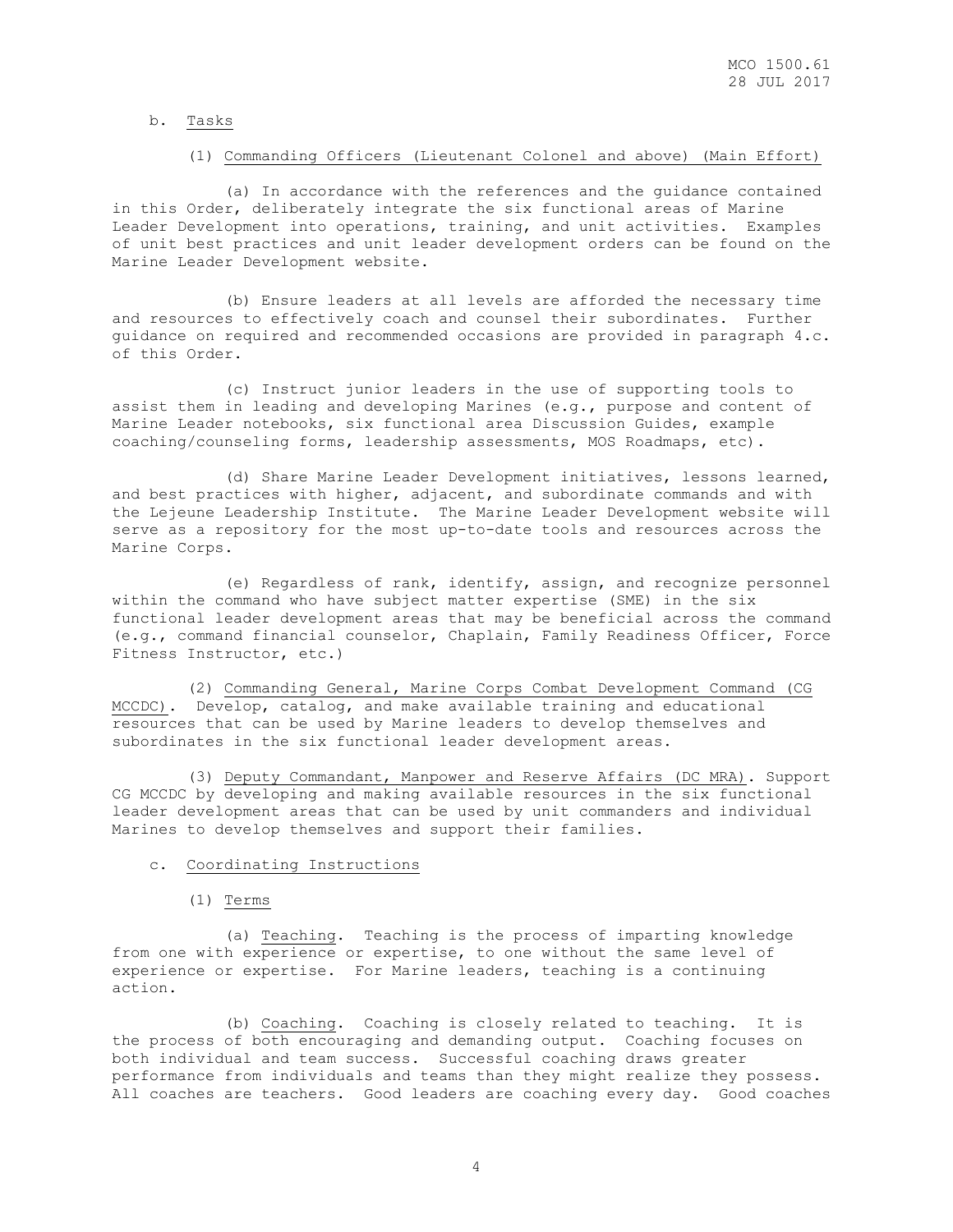#### b. Tasks

### (1) Commanding Officers (Lieutenant Colonel and above) (Main Effort)

 (a) In accordance with the references and the guidance contained in this Order, deliberately integrate the six functional areas of Marine Leader Development into operations, training, and unit activities. Examples of unit best practices and unit leader development orders can be found on the Marine Leader Development website.

 (b) Ensure leaders at all levels are afforded the necessary time and resources to effectively coach and counsel their subordinates. Further guidance on required and recommended occasions are provided in paragraph 4.c. of this Order.

 (c) Instruct junior leaders in the use of supporting tools to assist them in leading and developing Marines (e.g., purpose and content of Marine Leader notebooks, six functional area Discussion Guides, example coaching/counseling forms, leadership assessments, MOS Roadmaps, etc).

 (d) Share Marine Leader Development initiatives, lessons learned, and best practices with higher, adjacent, and subordinate commands and with the Lejeune Leadership Institute. The Marine Leader Development website will serve as a repository for the most up-to-date tools and resources across the Marine Corps.

 (e) Regardless of rank, identify, assign, and recognize personnel within the command who have subject matter expertise (SME) in the six functional leader development areas that may be beneficial across the command (e.g., command financial counselor, Chaplain, Family Readiness Officer, Force Fitness Instructor, etc.)

 (2) Commanding General, Marine Corps Combat Development Command (CG MCCDC). Develop, catalog, and make available training and educational resources that can be used by Marine leaders to develop themselves and subordinates in the six functional leader development areas.

 (3) Deputy Commandant, Manpower and Reserve Affairs (DC MRA). Support CG MCCDC by developing and making available resources in the six functional leader development areas that can be used by unit commanders and individual Marines to develop themselves and support their families.

#### c. Coordinating Instructions

(1) Terms

 (a) Teaching. Teaching is the process of imparting knowledge from one with experience or expertise, to one without the same level of experience or expertise. For Marine leaders, teaching is a continuing action.

 (b) Coaching. Coaching is closely related to teaching. It is the process of both encouraging and demanding output. Coaching focuses on both individual and team success. Successful coaching draws greater performance from individuals and teams than they might realize they possess. All coaches are teachers. Good leaders are coaching every day. Good coaches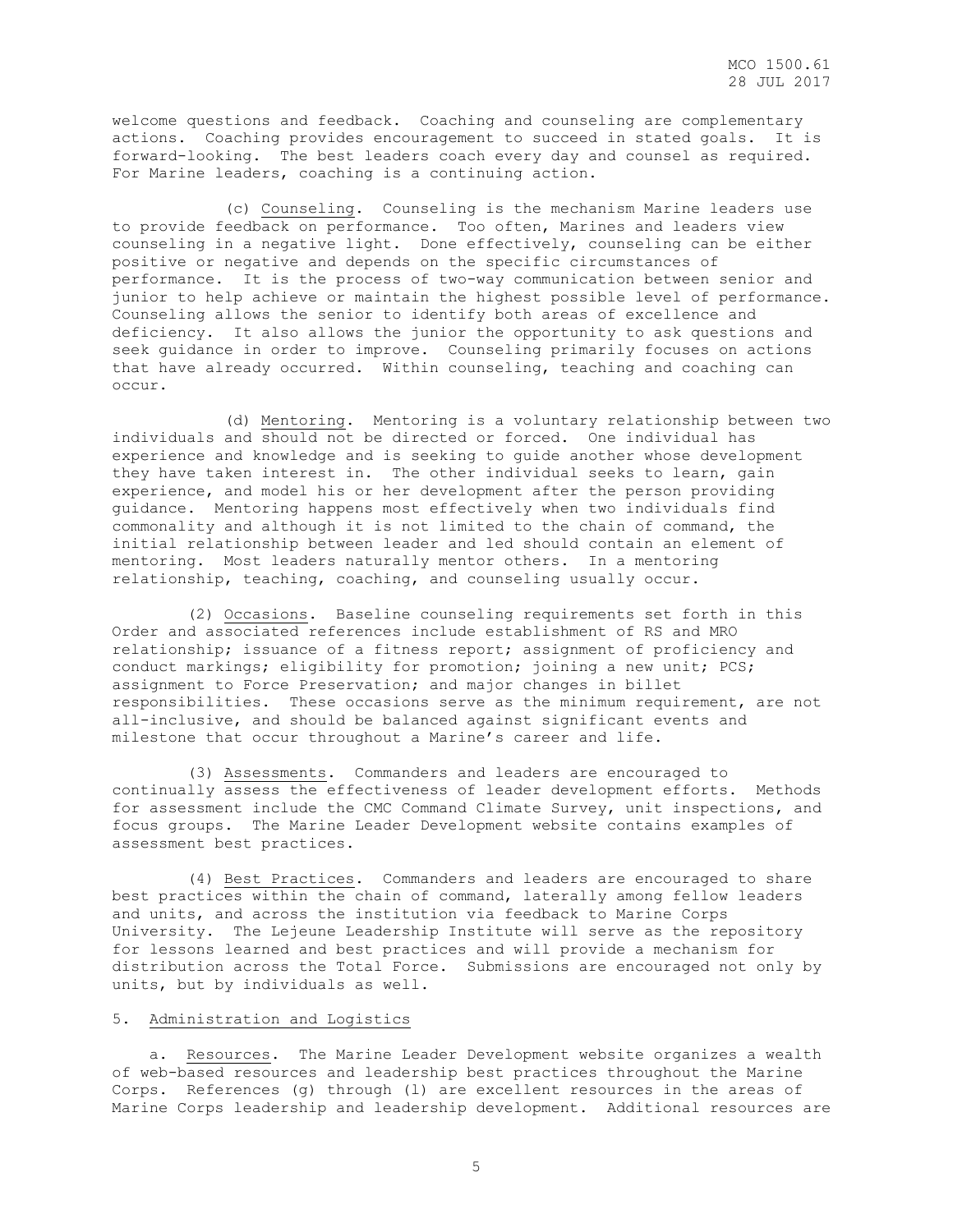welcome questions and feedback. Coaching and counseling are complementary actions. Coaching provides encouragement to succeed in stated goals. It is forward-looking. The best leaders coach every day and counsel as required. For Marine leaders, coaching is a continuing action.

 (c) Counseling. Counseling is the mechanism Marine leaders use to provide feedback on performance. Too often, Marines and leaders view counseling in a negative light. Done effectively, counseling can be either positive or negative and depends on the specific circumstances of performance. It is the process of two-way communication between senior and junior to help achieve or maintain the highest possible level of performance. Counseling allows the senior to identify both areas of excellence and deficiency. It also allows the junior the opportunity to ask questions and seek guidance in order to improve. Counseling primarily focuses on actions that have already occurred. Within counseling, teaching and coaching can occur.

 (d) Mentoring. Mentoring is a voluntary relationship between two individuals and should not be directed or forced. One individual has experience and knowledge and is seeking to guide another whose development they have taken interest in. The other individual seeks to learn, gain experience, and model his or her development after the person providing guidance. Mentoring happens most effectively when two individuals find commonality and although it is not limited to the chain of command, the initial relationship between leader and led should contain an element of mentoring. Most leaders naturally mentor others. In a mentoring relationship, teaching, coaching, and counseling usually occur.

 (2) Occasions. Baseline counseling requirements set forth in this Order and associated references include establishment of RS and MRO relationship; issuance of a fitness report; assignment of proficiency and conduct markings; eligibility for promotion; joining a new unit; PCS; assignment to Force Preservation; and major changes in billet responsibilities. These occasions serve as the minimum requirement, are not all-inclusive, and should be balanced against significant events and milestone that occur throughout a Marine's career and life.

 (3) Assessments. Commanders and leaders are encouraged to continually assess the effectiveness of leader development efforts. Methods for assessment include the CMC Command Climate Survey, unit inspections, and focus groups. The Marine Leader Development website contains examples of assessment best practices.

 (4) Best Practices. Commanders and leaders are encouraged to share best practices within the chain of command, laterally among fellow leaders and units, and across the institution via feedback to Marine Corps University. The Lejeune Leadership Institute will serve as the repository for lessons learned and best practices and will provide a mechanism for distribution across the Total Force. Submissions are encouraged not only by units, but by individuals as well.

## 5. Administration and Logistics

 a. Resources. The Marine Leader Development website organizes a wealth of web-based resources and leadership best practices throughout the Marine Corps. References (g) through (l) are excellent resources in the areas of Marine Corps leadership and leadership development. Additional resources are

5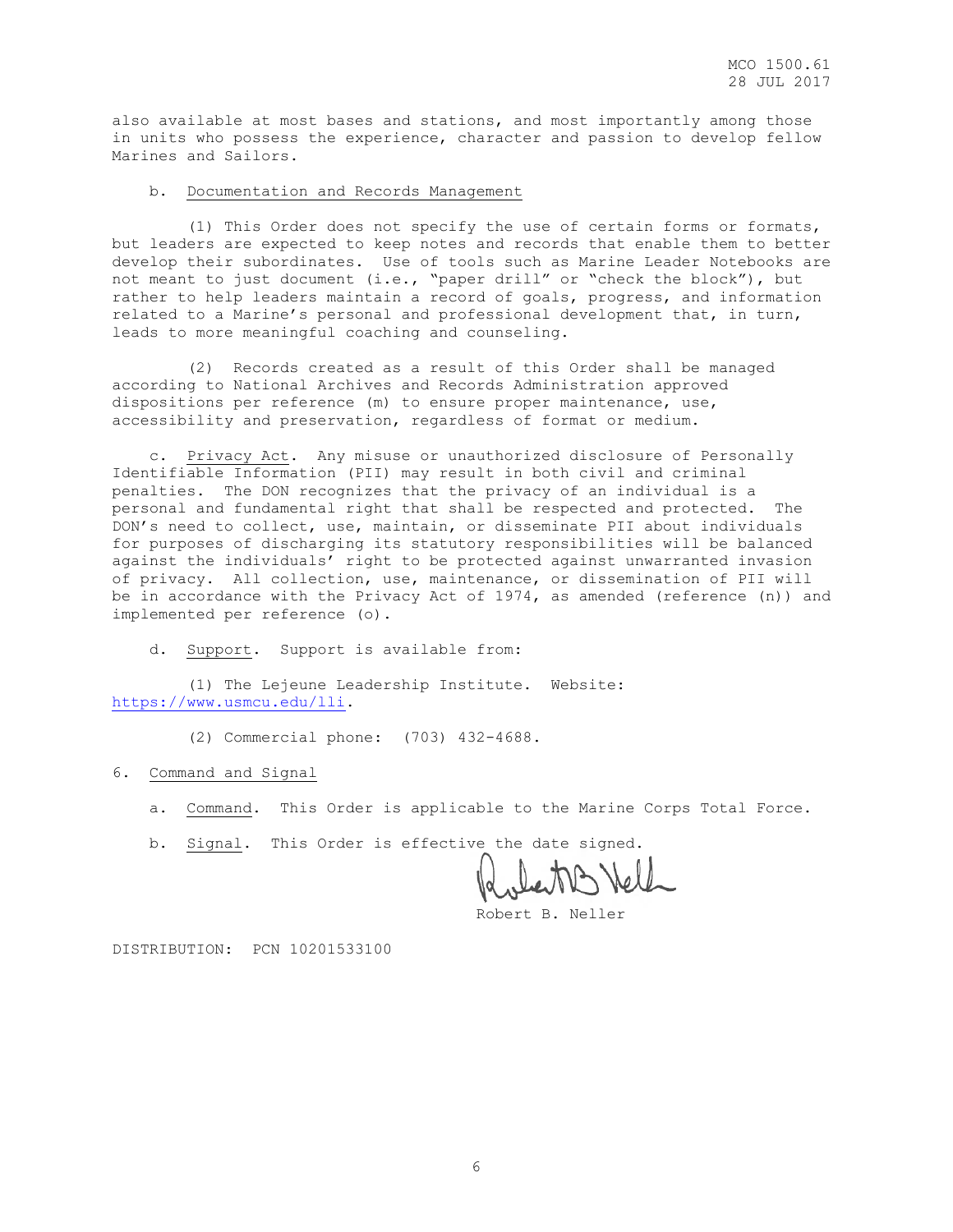also available at most bases and stations, and most importantly among those in units who possess the experience, character and passion to develop fellow Marines and Sailors.

#### b. Documentation and Records Management

 (1) This Order does not specify the use of certain forms or formats, but leaders are expected to keep notes and records that enable them to better develop their subordinates. Use of tools such as Marine Leader Notebooks are not meant to just document (i.e., "paper drill" or "check the block"), but rather to help leaders maintain a record of goals, progress, and information related to a Marine's personal and professional development that, in turn, leads to more meaningful coaching and counseling.

 (2) Records created as a result of this Order shall be managed according to National Archives and Records Administration approved dispositions per reference (m) to ensure proper maintenance, use, accessibility and preservation, regardless of format or medium.

Privacy Act. Any misuse or unauthorized disclosure of Personally Identifiable Information (PII) may result in both civil and criminal penalties. The DON recognizes that the privacy of an individual is a personal and fundamental right that shall be respected and protected. The DON's need to collect, use, maintain, or disseminate PII about individuals for purposes of discharging its statutory responsibilities will be balanced against the individuals' right to be protected against unwarranted invasion of privacy. All collection, use, maintenance, or dissemination of PII will be in accordance with the Privacy Act of 1974, as amended (reference (n)) and implemented per reference (o).

d. Support. Support is available from:

 (1) The Lejeune Leadership Institute. Website: [https://www.usmcu.edu/lli.](https://www.usmcu.edu/lli)

(2) Commercial phone: (703) 432-4688.

6. Command and Signal

a. Command. This Order is applicable to the Marine Corps Total Force.

b. Signal. This Order is effective the date signed.

Robert B. Neller

DISTRIBUTION: PCN 10201533100